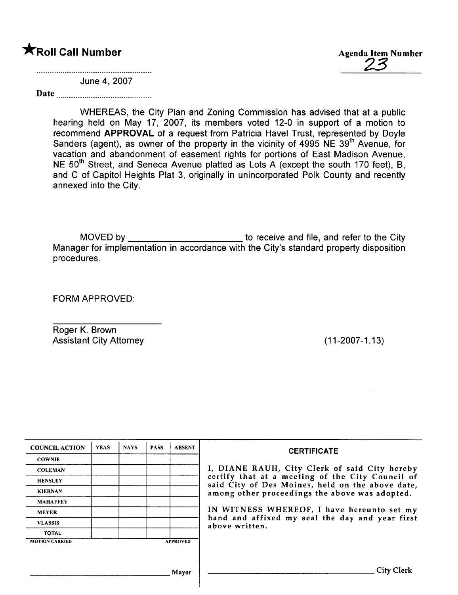**\*Roll Call Number** Agenda Item Number Agenda Item Number

June 4, 2007

Date

WHEREAS, the City Plan and Zoning Commission has advised that at a public hearing held on May 17, 2007, its members voted 12-0 in support of a motion to recommend APPROVAL of a request from Patricia Havel Trust, represented by Doyle Sanders (agent), as owner of the property in the vicinity of 4995 NE 39<sup>th</sup> Avenue, for vacation and abandonment of easement rights for portions of East Madison Avenue, NE 50<sup>th</sup> Street, and Seneca Avenue platted as Lots A (except the south 170 feet), B, and C of Capitol Heights Plat 3, originally in unincorporated Polk County and recently annexed into the City.

MOVED by \_\_\_\_\_\_\_\_\_\_\_\_\_\_\_\_\_\_\_\_\_\_\_\_\_\_\_\_ to receive and file, and refer to the City Manager for implementation in accordance with the City's standard property disposition procedures.

FORM APPROVED:

Roger K. Brown Assistant City Attorney (11-2007-1.13)

| <b>COUNCIL ACTION</b> | <b>YEAS</b> | <b>NAYS</b> | <b>PASS</b> | <b>ABSENT</b>   | <b>CERTIFICATE</b>                                                                                   |  |  |
|-----------------------|-------------|-------------|-------------|-----------------|------------------------------------------------------------------------------------------------------|--|--|
| <b>COWNIE</b>         |             |             |             |                 |                                                                                                      |  |  |
| <b>COLEMAN</b>        |             |             |             |                 | I, DIANE RAUH, City Clerk of said City hereby                                                        |  |  |
| <b>HENSLEY</b>        |             |             |             |                 | certify that at a meeting of the City Council of<br>said City of Des Moines, held on the above date, |  |  |
| <b>KIERNAN</b>        |             |             |             |                 | among other proceedings the above was adopted.                                                       |  |  |
| <b>MAHAFFEY</b>       |             |             |             |                 |                                                                                                      |  |  |
| <b>MEYER</b>          |             |             |             |                 | IN WITNESS WHEREOF, I have hereunto set my                                                           |  |  |
| <b>VLASSIS</b>        |             |             |             |                 | hand and affixed my seal the day and year first<br>above written.                                    |  |  |
| <b>TOTAL</b>          |             |             |             |                 |                                                                                                      |  |  |
| <b>MOTION CARRIED</b> |             |             |             | <b>APPROVED</b> |                                                                                                      |  |  |
|                       |             |             |             |                 |                                                                                                      |  |  |
|                       |             |             |             |                 |                                                                                                      |  |  |
| Mayor                 |             |             |             |                 | <b>City Clerk</b>                                                                                    |  |  |
|                       |             |             |             |                 |                                                                                                      |  |  |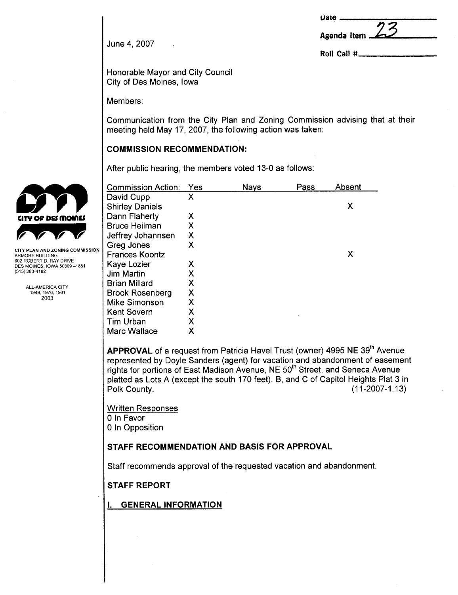| $\boldsymbol{\mathsf{Date}}$ $-$ |  |
|----------------------------------|--|
|                                  |  |
| Agenda Item                      |  |
|                                  |  |

Roll Call #

June 4, 2007

Honorable Mayor and City Council City of Des Moines, Iowa

Members:

Communication from the City Plan and Zoning Commission advising that at their meeting held May 17, 2007, the following action was taken:

# COMMISSION RECOMMENDATION:

After public hearing, the members voted 13-0 as follows:

| <b>Commission Action:</b> | Yes | <b>Nays</b> | Pass | Absent |
|---------------------------|-----|-------------|------|--------|
| David Cupp                | Χ   |             |      |        |
| <b>Shirley Daniels</b>    |     |             |      | Χ      |
| Dann Flaherty             | Χ   |             |      |        |
| <b>Bruce Heilman</b>      | Χ   |             |      |        |
| Jeffrey Johannsen         | Χ   |             |      |        |
| Greg Jones                | X   |             |      |        |
| <b>Frances Koontz</b>     |     |             |      | х      |
| Kaye Lozier               | X   |             |      |        |
| <b>Jim Martin</b>         | Χ   |             |      |        |
| <b>Brian Millard</b>      | X   |             |      |        |
| <b>Brook Rosenberg</b>    | Χ   |             |      |        |
| <b>Mike Simonson</b>      | Χ   |             |      |        |
| <b>Kent Sovern</b>        | Χ   |             |      |        |
| Tim Urban                 | Χ   |             |      |        |
| Marc Wallace              | Χ   |             |      |        |

APPROVAL of a request from Patricia Havel Trust (owner) 4995 NE 39<sup>th</sup> Avenue represented by Doyle Sanders (agent) for vacation and abandonment of easement rights for portions of East Madison Avenue, NE 50<sup>th</sup> Street, and Seneca Avenue platted as Lots A (except the south 170 feet), B, and C of Capitol Heights Plat 3 in Polk County. (11-2007-1.13)

Written Responses o In Favor o In Opposition

## STAFF RECOMMENDATION AND BASIS FOR APPROVAL

Staff recommends approval of the requested vacation and abandonment.

STAFF REPORT

i. GENERAL INFORMATION



ARMORY BUILDING 602 ROBERT D. RAY DRIVE DES MOINES, IOWA 50309 -1881 (515) 283-4182

> ALL-AMERICA CITY 1949,1976,1981 2003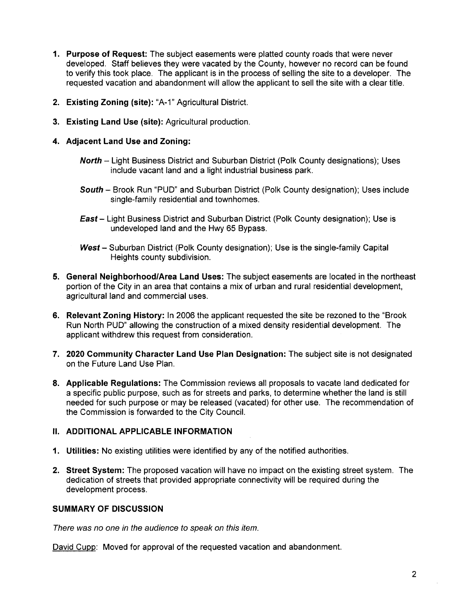- 1. Purpose of Request: The subject easements were platted county roads that were never developed, Staff believes they were vacated by the County, however no record can be found to verify this took place. The applicant is in the process of selling the site to a developer. The requested vacation and abandonment will allow the applicant to sell the site with a clear title.
- 2. Existing Zoning (site): "A-1" Agricultural District.
- 3. Existing Land Use (site): Agricultural production.
- 4. Adjacent Land Use and Zoning:
	- North Light Business District and Suburban District (Polk County designations); Uses include vacant land and a light industrial business park.
	- South Brook Run "PUD" and Suburban District (Polk County designation); Uses include single-family residential and townhomes.
	- **East**  $-$  Light Business District and Suburban District (Polk County designation); Use is undeveloped land and the Hwy 65 Bypass.
	- West Suburban District (Polk County designation); Use is the single-family Capital Heights county subdivision.
- 5. General Neighborhood/Area Land Uses: The subject easements are located in the northeast portion of the City in an area that contains a mix of urban and rural residential development, agricultural land and commercial uses.
- 6. Relevant Zoning History: In 2006 the applicant requested the site be rezoned to the "Brook Run North PUD" allowing the construction of a mixed density residential development. The applicant withdrew this request from consideration.
- 7. 2020 Community Character Land Use Plan Designation: The subject site is not designated on the Future Land Use Plan.
- 8. Applicable Regulations: The Commission reviews all proposals to vacate land dedicated for a specific public purpose, such as for streets and parks, to determine whether the land is still needed for such purpose or may be released (vacated) for other use. The recommendation of the Commission is forwarded to the City CounciL.

## II. ADDITIONAL APPLICABLE INFORMATION

- 1. Utilities: No existing utilities were identified by any of the notified authorities.
- 2. Street System: The proposed vacation will have no impact on the existing street system. The dedication of streets that provided appropriate connectivity will be required during the development process.

#### SUMMARY OF DISCUSSION

There was no one in the audience to speak on this item.

David Cupp: Moved for approval of the requested vacation and abandonment.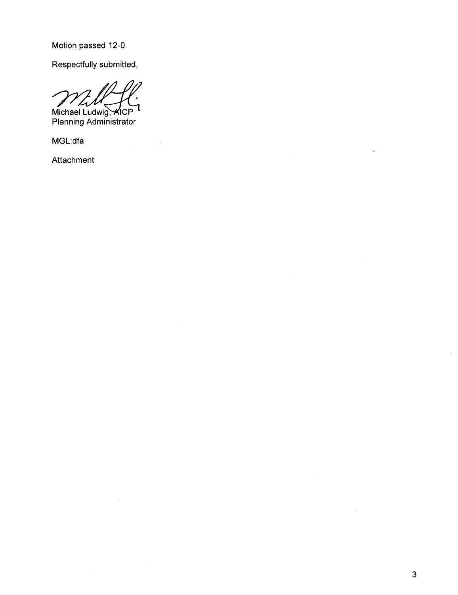Motion passed 12-0.

Respectfully submitted,

Michael Ludwig, <del>X</del>ICP Planning Administrator

 $\bar{\beta}$ 

MGL:dfa

Attachment

 $\overline{a}$